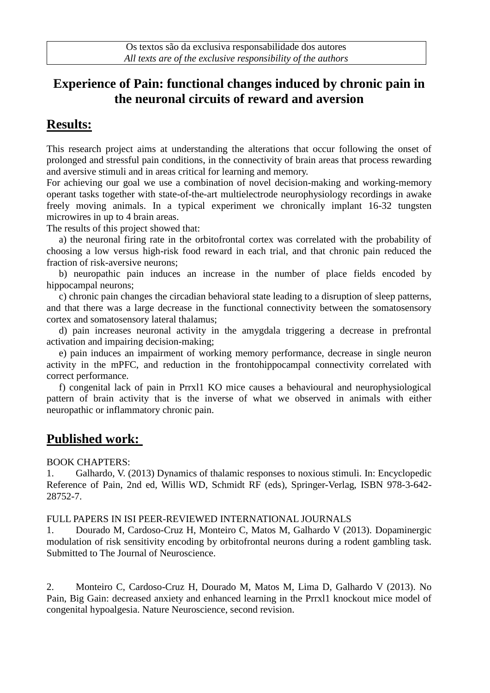# **Experience of Pain: functional changes induced by chronic pain in the neuronal circuits of reward and aversion**

# **Results:**

This research project aims at understanding the alterations that occur following the onset of prolonged and stressful pain conditions, in the connectivity of brain areas that process rewarding and aversive stimuli and in areas critical for learning and memory.

For achieving our goal we use a combination of novel decision-making and working-memory operant tasks together with state-of-the-art multielectrode neurophysiology recordings in awake freely moving animals. In a typical experiment we chronically implant 16-32 tungsten microwires in up to 4 brain areas.

The results of this project showed that:

 a) the neuronal firing rate in the orbitofrontal cortex was correlated with the probability of choosing a low versus high-risk food reward in each trial, and that chronic pain reduced the fraction of risk-aversive neurons;

 b) neuropathic pain induces an increase in the number of place fields encoded by hippocampal neurons;

 c) chronic pain changes the circadian behavioral state leading to a disruption of sleep patterns, and that there was a large decrease in the functional connectivity between the somatosensory cortex and somatosensory lateral thalamus;

 d) pain increases neuronal activity in the amygdala triggering a decrease in prefrontal activation and impairing decision-making;

 e) pain induces an impairment of working memory performance, decrease in single neuron activity in the mPFC, and reduction in the frontohippocampal connectivity correlated with correct performance.

 f) congenital lack of pain in Prrxl1 KO mice causes a behavioural and neurophysiological pattern of brain activity that is the inverse of what we observed in animals with either neuropathic or inflammatory chronic pain.

### **Published work:**

#### BOOK CHAPTERS:

1. Galhardo, V. (2013) Dynamics of thalamic responses to noxious stimuli. In: Encyclopedic Reference of Pain, 2nd ed, Willis WD, Schmidt RF (eds), Springer-Verlag, ISBN 978-3-642- 28752-7.

#### FULL PAPERS IN ISI PEER-REVIEWED INTERNATIONAL JOURNALS

1. Dourado M, Cardoso-Cruz H, Monteiro C, Matos M, Galhardo V (2013). Dopaminergic modulation of risk sensitivity encoding by orbitofrontal neurons during a rodent gambling task. Submitted to The Journal of Neuroscience.

2. Monteiro C, Cardoso-Cruz H, Dourado M, Matos M, Lima D, Galhardo V (2013). No Pain, Big Gain: decreased anxiety and enhanced learning in the Prrxl1 knockout mice model of congenital hypoalgesia. Nature Neuroscience, second revision.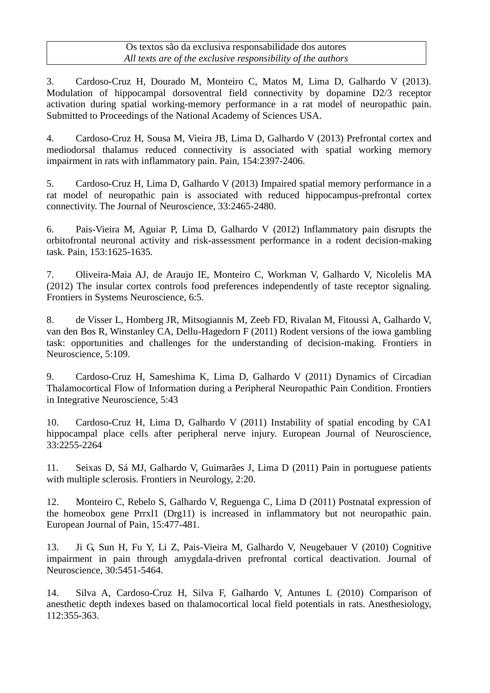3. Cardoso-Cruz H, Dourado M, Monteiro C, Matos M, Lima D, Galhardo V (2013). Modulation of hippocampal dorsoventral field connectivity by dopamine D2/3 receptor activation during spatial working-memory performance in a rat model of neuropathic pain. Submitted to Proceedings of the National Academy of Sciences USA.

4. Cardoso-Cruz H, Sousa M, Vieira JB, Lima D, Galhardo V (2013) Prefrontal cortex and mediodorsal thalamus reduced connectivity is associated with spatial working memory impairment in rats with inflammatory pain. Pain, 154:2397-2406.

5. Cardoso-Cruz H, Lima D, Galhardo V (2013) Impaired spatial memory performance in a rat model of neuropathic pain is associated with reduced hippocampus-prefrontal cortex connectivity. The Journal of Neuroscience, 33:2465-2480.

6. Pais-Vieira M, Aguiar P, Lima D, Galhardo V (2012) Inflammatory pain disrupts the orbitofrontal neuronal activity and risk-assessment performance in a rodent decision-making task. Pain, 153:1625-1635.

7. Oliveira-Maia AJ, de Araujo IE, Monteiro C, Workman V, Galhardo V, Nicolelis MA (2012) The insular cortex controls food preferences independently of taste receptor signaling. Frontiers in Systems Neuroscience, 6:5.

8. de Visser L, Homberg JR, Mitsogiannis M, Zeeb FD, Rivalan M, Fitoussi A, Galhardo V, van den Bos R, Winstanley CA, Dellu-Hagedorn F (2011) Rodent versions of the iowa gambling task: opportunities and challenges for the understanding of decision-making. Frontiers in Neuroscience, 5:109.

9. Cardoso-Cruz H, Sameshima K, Lima D, Galhardo V (2011) Dynamics of Circadian Thalamocortical Flow of Information during a Peripheral Neuropathic Pain Condition. Frontiers in Integrative Neuroscience, 5:43

10. Cardoso-Cruz H, Lima D, Galhardo V (2011) Instability of spatial encoding by CA1 hippocampal place cells after peripheral nerve injury. European Journal of Neuroscience, 33:2255-2264

11. Seixas D, Sá MJ, Galhardo V, Guimarães J, Lima D (2011) Pain in portuguese patients with multiple sclerosis. Frontiers in Neurology, 2:20.

12. Monteiro C, Rebelo S, Galhardo V, Reguenga C, Lima D (2011) Postnatal expression of the homeobox gene Prrxl1 (Drg11) is increased in inflammatory but not neuropathic pain. European Journal of Pain, 15:477-481.

13. Ji G, Sun H, Fu Y, Li Z, Pais-Vieira M, Galhardo V, Neugebauer V (2010) Cognitive impairment in pain through amygdala-driven prefrontal cortical deactivation. Journal of Neuroscience, 30:5451-5464.

14. Silva A, Cardoso-Cruz H, Silva F, Galhardo V, Antunes L (2010) Comparison of anesthetic depth indexes based on thalamocortical local field potentials in rats. Anesthesiology, 112:355-363.